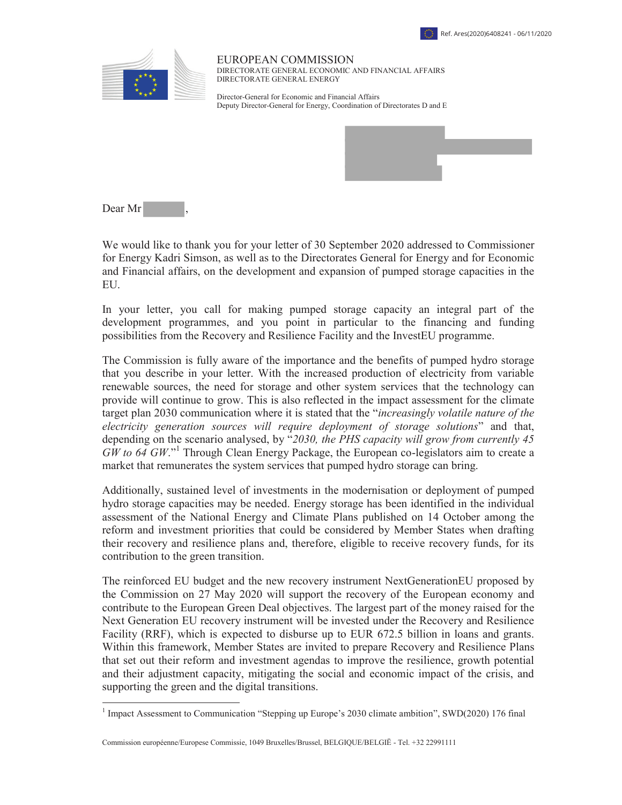



EUROPEAN COMMISSION DIRECTORATE GENERAL ECONOMIC AND FINANCIAL AFFAIRS DIRECTORATE GENERAL ENERGY

Director-General for Economic and Financial Affairs Deputy Director-General for Energy, Coordination of Directorates D and E



Dear Mr

 $\overline{a}$ 

We would like to thank you for your letter of 30 September 2020 addressed to Commissioner for Energy Kadri Simson, as well as to the Directorates General for Energy and for Economic and Financial affairs, on the development and expansion of pumped storage capacities in the EU.

In your letter, you call for making pumped storage capacity an integral part of the development programmes, and you point in particular to the financing and funding possibilities from the Recovery and Resilience Facility and the InvestEU programme.

The Commission is fully aware of the importance and the benefits of pumped hydro storage that you describe in your letter. With the increased production of electricity from variable renewable sources, the need for storage and other system services that the technology can provide will continue to grow. This is also reflected in the impact assessment for the climate target plan 2030 communication where it is stated that the "*increasingly volatile nature of the electricity generation sources will require deployment of storage solutions*" and that, depending on the scenario analysed, by "*2030, the PHS capacity will grow from currently 45*   $\widetilde{GW}$  to 64  $GW$ ."<sup>1</sup> Through Clean Energy Package, the European co-legislators aim to create a market that remunerates the system services that pumped hydro storage can bring.

Additionally, sustained level of investments in the modernisation or deployment of pumped hydro storage capacities may be needed. Energy storage has been identified in the individual assessment of the National Energy and Climate Plans published on 14 October among the reform and investment priorities that could be considered by Member States when drafting their recovery and resilience plans and, therefore, eligible to receive recovery funds, for its contribution to the green transition.

The reinforced EU budget and the new recovery instrument NextGenerationEU proposed by the Commission on 27 May 2020 will support the recovery of the European economy and contribute to the European Green Deal objectives. The largest part of the money raised for the Next Generation EU recovery instrument will be invested under the Recovery and Resilience Facility (RRF), which is expected to disburse up to EUR 672.5 billion in loans and grants. Within this framework, Member States are invited to prepare Recovery and Resilience Plans that set out their reform and investment agendas to improve the resilience, growth potential and their adjustment capacity, mitigating the social and economic impact of the crisis, and supporting the green and the digital transitions.

Commission européenne/Europese Commissie, 1049 Bruxelles/Brussel, BELGIQUE/BELGIË - Tel. +32 22991111

<sup>&</sup>lt;sup>1</sup> Impact Assessment to Communication "Stepping up Europe's 2030 climate ambition", SWD(2020) 176 final